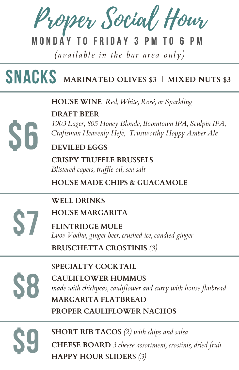Proper Social Hour

### M O N D A Y T O F R I D A Y 3

*( a v a il a b le in the b a r a re a only)*

# Snacks **MARINATED OLIVES \$3 <sup>|</sup> MIXED NUTS \$3**

**HOUSE WINE** *Red, White, Rosé, or Sparkling*

**DRAFT BEER**

*1903 Lager, 805 Honey Blonde, Boomtown IPA, Sculpin IPA, Craftsman Heavenly Hefe, Trustworthy Hoppy Amber Ale*

**DEVILED EGGS**

**CRISPY TRUFFLE BRUSSELS** *Blistered capers, truf le oil, sea salt*

**HOUSE MADE CHIPS & GUACAMOLE**

**WELL DRINKS**

**HOUSE MARGARITA**

FLINTRIDGE MULE<br> *Lvov Vodka, ginger beer, crushed ice, candied ginger* 

**BRUSCHETTA CROSTINIS** *(3)*

**S6** 

**SPECIALTY COCKTAIL**

SPECIALI Y COC **MARGARITA FLATBREAD CAULIFLOWER HUMMUS** *made with chickpeas, cauliflower and curry with house flatbread* **PROPER CAULIFLOWER NACHOS**

**SHORT RIB TACOS** *(2) with chips and salsa* SHORT RIB TAC **CHEESE BOARD** *3 cheese assortment, crostinis, dried fruit* **HAPPY HOUR SLIDERS** *(3)*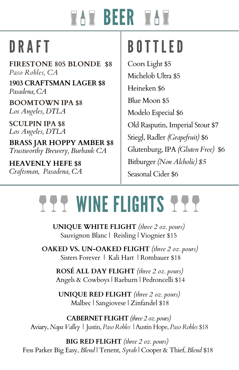# **WAW BEER WAW**

**FIRESTONE 805 BLONDE \$8** *Paso Robles, CA*

**1903 CRAFTSMAN LAGER \$8** *Pasadena, CA*

**BOOMTOWN IPA \$8** *Los Angeles, DTLA*

**SCULPIN IPA \$8** *Los Angeles, DTLA*

**BRASS JAR HOPPY AMBER \$8** *Trustworthy Brewery, Burbank CA*

**HEAVENLY HEFE \$8** *Craftsman, Pasadena, CA*

# DRAFT BOTTLED

Coors Light \$5 Michelob Ultra \$5 Heineken \$6 Blue Moon \$5 Modelo Especial \$6 Old Rasputin, Imperial Stout \$7 Stiegl, Radler *(Grapefruit)* \$6 Glutenburg, IPA *(Gluten Free)* \$6 Bitburger *(Non Alcholic) \$5* Seasonal Cider \$6

# **TTT WINE FLIGHTS TTT**

**UNIQUE WHITE FLIGHT** *(three 2 oz. pours)* Sauvignon Blanc | Reisling | Viognier \$15

**OAKED VS. UN-OAKED FLIGHT** *(three 2 oz. pours)* Sisters Forever | Kali Hart | Rombauer \$18

**ROSÉ ALL DAY FLIGHT** *(three 2 oz. pours)* Angels & Cowboys | Raeburn | Pedroncelli \$14

**UNIQUE RED FLIGHT** *(three 2 oz. pours)* Malbec | Sangiovese | Zinfandel \$18

**CABERNET FLIGHT** *(three 2 oz. pours)* Aviary, *Napa Valley* | Justin, *Paso Robles* | Austin Hope, *Paso Robles* \$18

**BIG RED FLIGHT** *(three 2 oz. pours)* Fess Parker Big Easy, *Blend* | Tenent, *Syrah* | Cooper & Thief,*Blend* \$18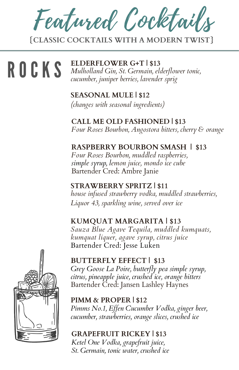Featured Cocktails

**{CLASSIC COCKTAILS WITH A MODERN TWIST}**

**ROCKS** 

**ELDERFLOWER G+T |\$13** *Mulholland Gin, St. Germain, elderflower tonic, cucumber, juniper berries, lavender sprig*

**SEASONAL MULE | \$12** *(changes with seasonal ingredients)*

**CALL ME OLD FASHIONED | \$13** *Four Roses Bourbon, Angostora bitters, cherry & orange*

**RASPBERRY BOURBON SMASH | \$13** *Four Roses Bourbon, muddled raspberries, simple syrup, lemon juice, mondo ice cube* Bartender Cred: Ambre Janie

**STRAWBERRY SPRITZ | \$11** *house infused strawberry vodka, muddled strawberries, Liquor 43, sparkling wine, served over ice*

#### **KUMQUAT MARGARITA | \$13**

*Sauza Blue Agave Tequila, muddled kumquats, kumquat liquer, agave syrup, citrus juice* Bartender Cred: Jesse Luken



#### **BUTTERFLY EFFECT | \$13**

*Grey Goose La Poire, butterfly pea simple syrup, citrus, pineapple juice, crushed ice, orange bitters* Bartender Cred: Jansen Lashley Haynes

**PIMM &PROPER | \$12** *Pimms No.1, Ef en Cucumber Vodka, ginger beer,*

*cucumber, strawberries, orange slices, crushed ice*

#### **GRAPEFRUIT RICKEY | \$13**

*Ketel One Vodka, grapefruit juice, St. Germain, tonic water, crushed ice*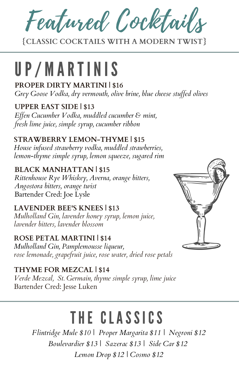Featured Cocktails

**{CLASSIC COCKTAILS WITH A MODERN TWIST}**

# UP/ M ART INIS

**PROPER DIRTY MARTINI | \$16**

*Grey Goose Vodka, dry vermouth, olive brine, blue cheese stuf ed olives*

#### **UPPER EAST SIDE | \$13**

*Ef en Cucumber Vodka, muddled cucumber & mint, fresh lime juice, simple syrup, cucumber ribbon*

#### **STRAWBERRY LEMON-THYME | \$15**

*House infused strawberry vodka, muddled strawberries, lemon-thyme simple syrup, lemon squeeze, sugared rim*

### **BLACK MANHATTAN | \$15**

*Rittenhouse Rye Whiskey, Averna, orange bitters, Angostora bitters, orange twist* Bartender Cred: Joe Lysle

**LAVENDER BEE'S KNEES | \$13** *Mulholland Gin, lavender honey syrup, lemon juice, lavender bitters, lavender blossom*

#### **ROSE PETAL MARTINI | \$14** *Mulholland Gin, Pamplemousse liqueur, rose lemonade, grapefruit juice, rose water, dried rose petals*

**THYME FOR MEZCAL | \$14** *Verde Mezcal, St. Germain, thyme simple syrup, lime juice* Bartender Cred: Jesse Luken

# THE CLASSICS

*Flintridge Mule \$10 | Proper Margarita \$11 | Negroni \$12 Boulevardier \$13 | Sazerac \$13 | Side Car \$12 Lemon Drop \$12 | Cosmo \$12*